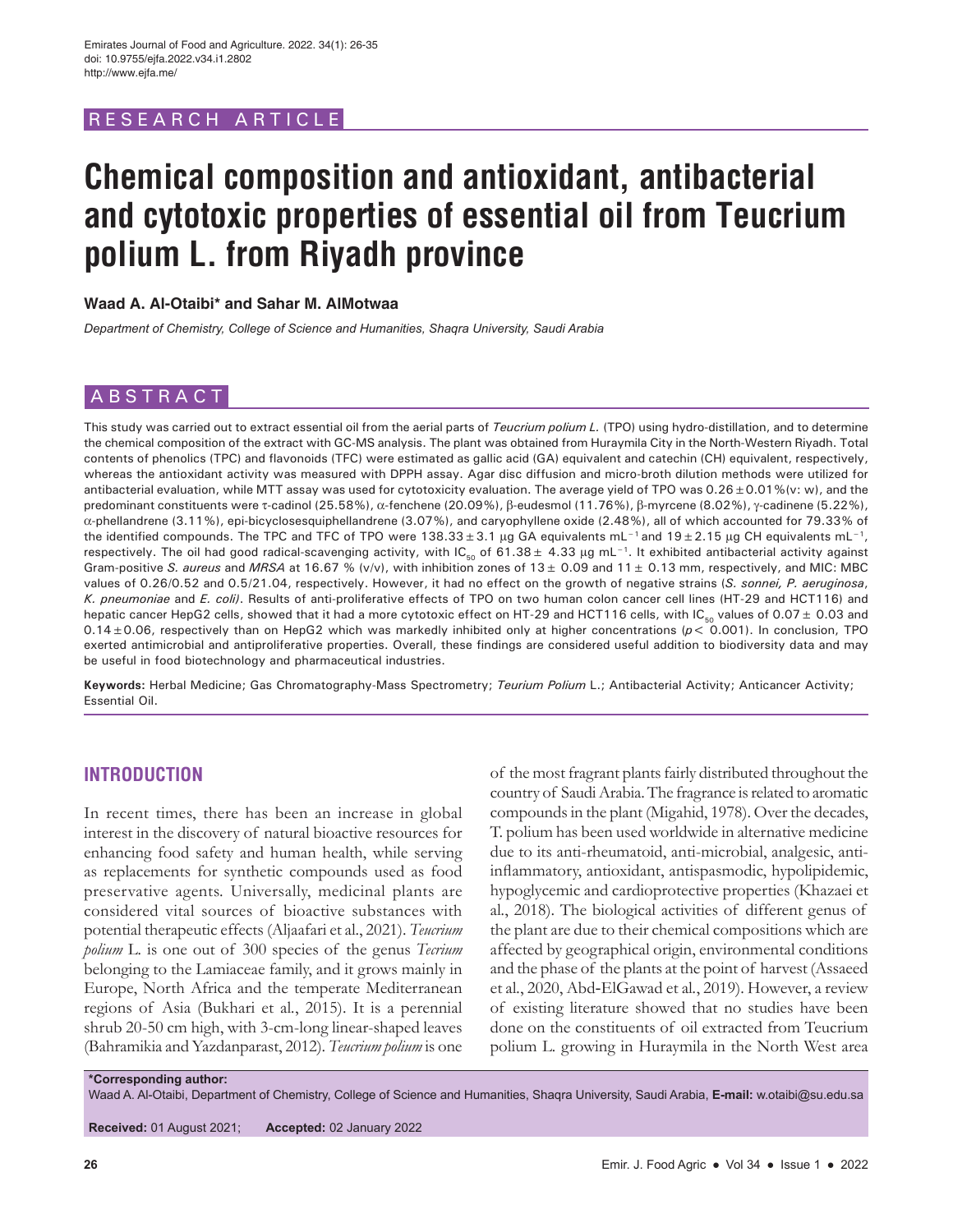# RESEARCH ARTICL

# **Chemical composition and antioxidant, antibacterial and cytotoxic properties of essential oil from Teucrium polium L. from Riyadh province**

### **Waad A. Al-Otaibi\* and Sahar M. AlMotwaa**

*Department of Chemistry, College of Science and Humanities, Shaqra University, Saudi Arabia*

# ABSTRACT

This study was carried out to extract essential oil from the aerial parts of *Teucrium polium L.* (TPO) using hydro-distillation, and to determine the chemical composition of the extract with GC-MS analysis. The plant was obtained from Huraymila City in the North-Western Riyadh. Total contents of phenolics (TPC) and flavonoids (TFC) were estimated as gallic acid (GA) equivalent and catechin (CH) equivalent, respectively, whereas the antioxidant activity was measured with DPPH assay. Agar disc diffusion and micro-broth dilution methods were utilized for antibacterial evaluation, while MTT assay was used for cytotoxicity evaluation. The average yield of TPO was 0.26±0.01%(v: w), and the predominant constituents were τ-cadinol (25.58%), α-fenchene (20.09%), β-eudesmol (11.76%), β-myrcene (8.02%), γ-cadinene (5.22%), α-phellandrene (3.11%), epi-bicyclosesquiphellandrene (3.07%), and caryophyllene oxide (2.48%), all of which accounted for 79.33% of the identified compounds. The TPC and TFC of TPO were 138.33±3.1 µg GA equivalents mL<sup>-1</sup> and 19±2.15 µg CH equivalents mL<sup>-1</sup>, respectively. The oil had good radical-scavenging activity, with IC<sub>50</sub> of 61.38 ± 4.33 µg mL<sup>-1</sup>. It exhibited antibacterial activity against Gram-positive *S. aureus* and *MRSA* at 16.67 % (v/v), with inhibition zones of 13± 0.09 and 11± 0.13 mm, respectively, and MIC: MBC values of 0.26/0.52 and 0.5/21.04, respectively. However, it had no effect on the growth of negative strains (*S. sonnei, P. aeruginosa*, *K. pneumoniae* and *E. coli)*. Results of anti-proliferative effects of TPO on two human colon cancer cell lines (HT-29 and HCT116) and hepatic cancer HepG2 cells, showed that it had a more cytotoxic effect on HT-29 and HCT116 cells, with IC<sub>50</sub> values of 0.07  $\pm$  0.03 and 0.14±0.06, respectively than on HepG2 which was markedly inhibited only at higher concentrations (*p*< 0.001). In conclusion, TPO exerted antimicrobial and antiproliferative properties. Overall, these findings are considered useful addition to biodiversity data and may be useful in food biotechnology and pharmaceutical industries.

**Keywords:** Herbal Medicine; Gas Chromatography-Mass Spectrometry; *Teurium Polium* L.; Antibacterial Activity; Anticancer Activity; Essential Oil.

# **INTRODUCTION**

In recent times, there has been an increase in global interest in the discovery of natural bioactive resources for enhancing food safety and human health, while serving as replacements for synthetic compounds used as food preservative agents. Universally, medicinal plants are considered vital sources of bioactive substances with potential therapeutic effects (Aljaafari et al., 2021). *Teucrium polium* L*.* is one out of 300 species of the genus *Tecrium*  belonging to the Lamiaceae family, and it grows mainly in Europe, North Africa and the temperate Mediterranean regions of Asia (Bukhari et al*.*, 2015). It is a perennial shrub 20-50 cm high, with 3-cm-long linear-shaped leaves (Bahramikia and Yazdanparast, 2012). *Teucrium polium* is one

of the most fragrant plants fairly distributed throughout the country of Saudi Arabia. The fragrance is related to aromatic compounds in the plant (Migahid, 1978). Over the decades, T. polium has been used worldwide in alternative medicine due to its anti-rheumatoid, anti-microbial, analgesic, antiinflammatory, antioxidant, antispasmodic, hypolipidemic, hypoglycemic and cardioprotective properties (Khazaei et al*.*, 2018). The biological activities of different genus of the plant are due to their chemical compositions which are affected by geographical origin, environmental conditions and the phase of the plants at the point of harvest (Assaeed et al*.*, 2020, Abd‐ElGawad et al*.*, 2019). However, a review of existing literature showed that no studies have been done on the constituents of oil extracted from Teucrium polium L*.* growing in Huraymila in the North West area

**\*Corresponding author:**

Waad A. Al-Otaibi, Department of Chemistry, College of Science and Humanities, Shaqra University, Saudi Arabia, **E-mail:** w.otaibi@su.edu.sa

**Received:** 01 August 2021; **Accepted:** 02 January 2022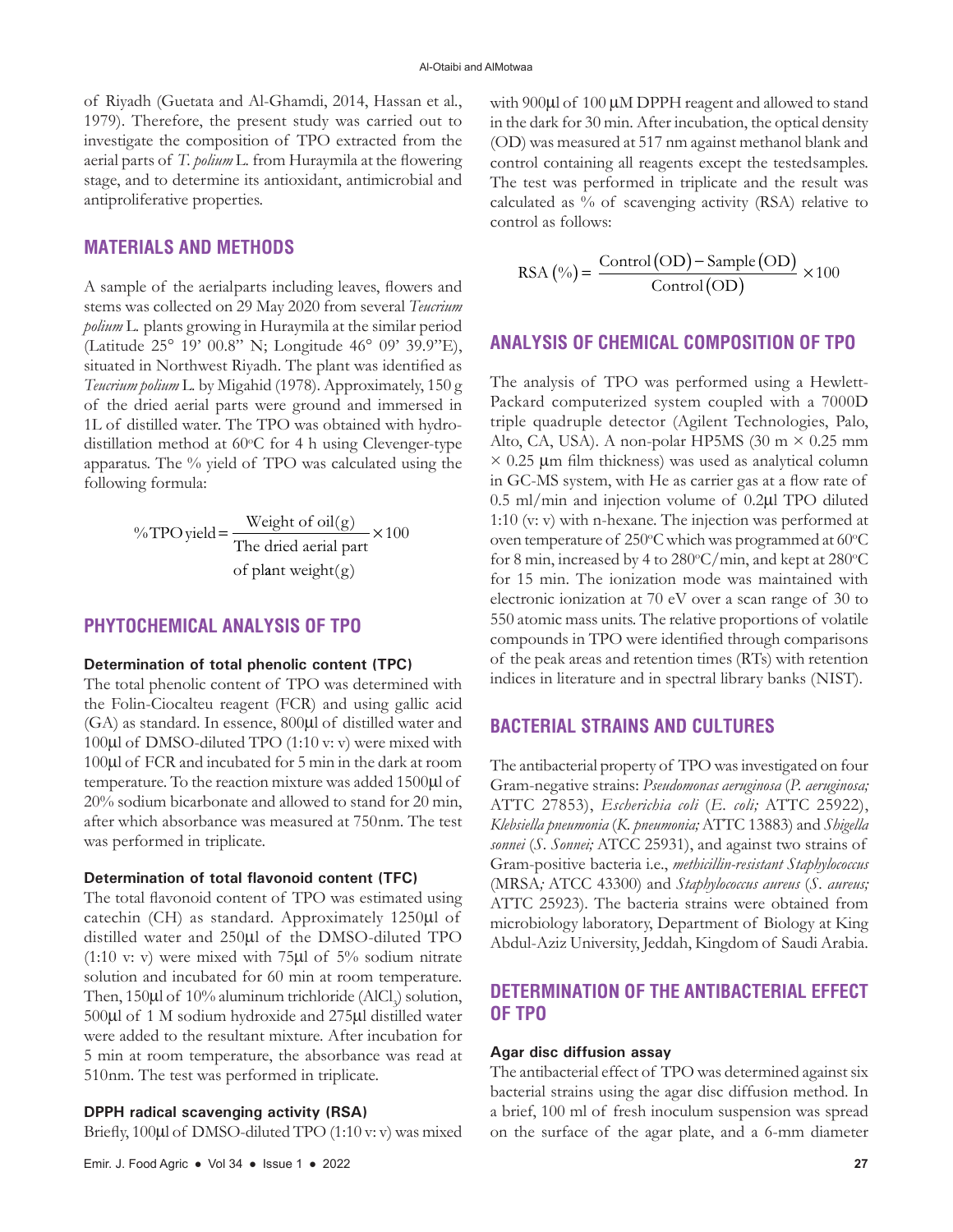of Riyadh (Guetata and Al-Ghamdi, 2014, Hassan et al*.*, 1979). Therefore, the present study was carried out to investigate the composition of TPO extracted from the aerial parts of *T. polium* L*.* from Huraymila at the flowering stage, and to determine its antioxidant, antimicrobial and antiproliferative properties.

# **MATERIALS AND METHODS**

A sample of the aerialparts including leaves, flowers and stems was collected on 29 May 2020 from several *Teucrium polium* L*.* plants growing in Huraymila at the similar period (Latitude 25° 19' 00.8" N; Longitude 46° 09' 39.9"E), situated in Northwest Riyadh. The plant was identified as *Teucrium polium* L*.* by Migahid (1978). Approximately, 150 g of the dried aerial parts were ground and immersed in 1L of distilled water. The TPO was obtained with hydrodistillation method at 60°C for 4 h using Clevenger-type apparatus. The % yield of TPO was calculated using the following formula:

> % TPO yield =  $\frac{\text{Weight of oil}(g)}{\text{DT}}$ The dried aerial part of plant weight( $g$ )  $\times$ 100

### **PHYTOCHEMICAL ANALYSIS OF TPO**

#### **Determination of total phenolic content (TPC)**

The total phenolic content of TPO was determined with the Folin-Ciocalteu reagent (FCR) and using gallic acid (GA) as standard. In essence, 800µl of distilled water and 100µl of DMSO-diluted TPO (1:10 v: v) were mixed with 100µl of FCR and incubated for 5 min in the dark at room temperature. To the reaction mixture was added 1500µl of 20% sodium bicarbonate and allowed to stand for 20 min, after which absorbance was measured at 750nm. The test was performed in triplicate.

### **Determination of total flavonoid content (TFC)**

The total flavonoid content of TPO was estimated using catechin (CH) as standard. Approximately 1250µl of distilled water and 250µl of the DMSO-diluted TPO (1:10 v: v) were mixed with 75µl of 5% sodium nitrate solution and incubated for 60 min at room temperature. Then,  $150\mu$ l of  $10\%$  aluminum trichloride (AlCl<sub>3</sub>) solution, 500µl of 1 M sodium hydroxide and 275µl distilled water were added to the resultant mixture. After incubation for 5 min at room temperature, the absorbance was read at 510nm. The test was performed in triplicate.

### **DPPH radical scavenging activity (RSA)**

Briefly, 100µl of DMSO-diluted TPO (1:10 v: v) was mixed

with 900µl of 100 µM DPPH reagent and allowed to stand in the dark for 30 min. After incubation, the optical density (OD) was measured at 517 nm against methanol blank and control containing all reagents except the testedsamples. The test was performed in triplicate and the result was calculated as % of scavenging activity (RSA) relative to control as follows:

$$
RSA \left( \% \right) = \frac{Control \left( OD \right) - Sample \left( OD \right)}{Control \left( OD \right)} \times 100
$$

### **ANALYSIS OF CHEMICAL COMPOSITION OF TPO**

The analysis of TPO was performed using a Hewlett-Packard computerized system coupled with a 7000D triple quadruple detector (Agilent Technologies, Palo, Alto, CA, USA). A non-polar HP5MS (30 m  $\times$  0.25 mm  $\times$  0.25  $\mu$ m film thickness) was used as analytical column in GC-MS system, with He as carrier gas at a flow rate of 0.5 ml/min and injection volume of 0.2µl TPO diluted 1:10 (v: v) with n-hexane. The injection was performed at oven temperature of 250°C which was programmed at 60°C for 8 min, increased by 4 to 280°C/min, and kept at 280°C for 15 min. The ionization mode was maintained with electronic ionization at 70 eV over a scan range of 30 to 550 atomic mass units. The relative proportions of volatile compounds in TPO were identified through comparisons of the peak areas and retention times (RTs) with retention indices in literature and in spectral library banks (NIST).

# **BACTERIAL STRAINS AND CULTURES**

The antibacterial property of TPO was investigated on four Gram-negative strains: *Pseudomonas aeruginosa* (*P. aeruginosa;* ATTC 27853), *Escherichia coli* (*E. coli;* ATTC 25922), *Klebsiella pneumonia* (*K. pneumonia;* ATTC 13883) and *Shigella sonnei* (*S. Sonnei;* ATCC 25931), and against two strains of Gram-positive bacteria i.e., *methicillin-resistant Staphylococcus* (MRSA*;* ATCC 43300) and *Staphylococcus aureus* (*S. aureus;*  ATTC 25923). The bacteria strains were obtained from microbiology laboratory, Department of Biology at King Abdul-Aziz University, Jeddah, Kingdom of Saudi Arabia.

# **DETERMINATION OF THE ANTIBACTERIAL EFFECT OF TPO**

### **Agar disc diffusion assay**

The antibacterial effect of TPO was determined against six bacterial strains using the agar disc diffusion method. In a brief, 100 ml of fresh inoculum suspension was spread on the surface of the agar plate, and a 6-mm diameter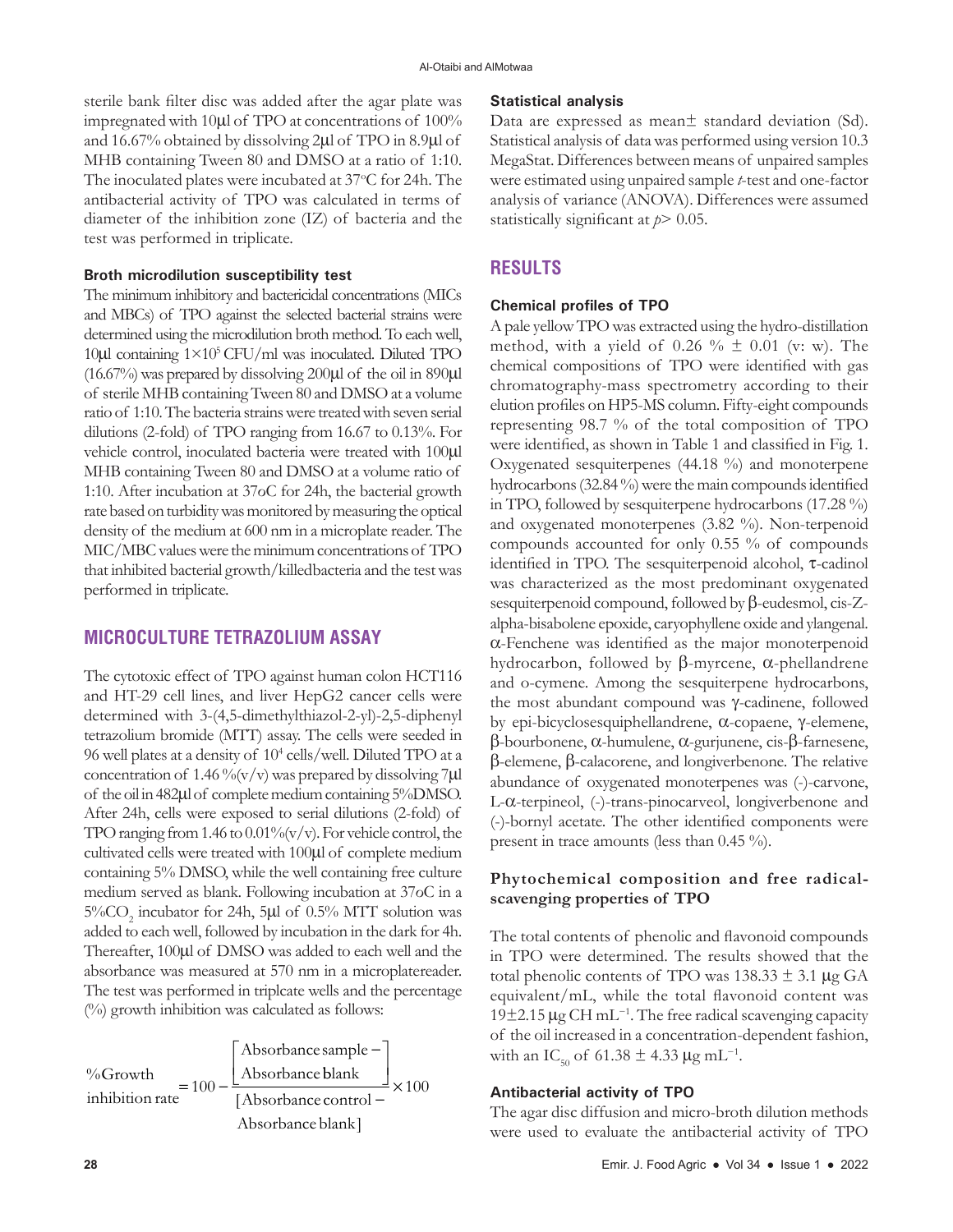sterile bank filter disc was added after the agar plate was impregnated with 10µl of TPO at concentrations of 100% and 16.67% obtained by dissolving 2µl of TPO in 8.9µl of MHB containing Tween 80 and DMSO at a ratio of 1:10. The inoculated plates were incubated at 37°C for 24h. The antibacterial activity of TPO was calculated in terms of diameter of the inhibition zone (IZ) of bacteria and the test was performed in triplicate.

### **Broth microdilution susceptibility test**

The minimum inhibitory and bactericidal concentrations (MICs and MBCs) of TPO against the selected bacterial strains were determined using the microdilution broth method. To each well, 10 $\mu$ l containing  $1\times10^5$  CFU/ml was inoculated. Diluted TPO (16.67%) was prepared by dissolving 200µl of the oil in 890µl of sterile MHB containing Tween 80 and DMSO at a volume ratio of 1:10. The bacteria strains were treated with seven serial dilutions (2-fold) of TPO ranging from 16.67 to 0.13%. For vehicle control, inoculated bacteria were treated with 100µl MHB containing Tween 80 and DMSO at a volume ratio of 1:10. After incubation at 37oC for 24h, the bacterial growth rate based on turbidity was monitored by measuring the optical density of the medium at 600 nm in a microplate reader. The MIC/MBC values were the minimum concentrations of TPO that inhibited bacterial growth/killedbacteria and the test was performed in triplicate.

# **MICROCULTURE TETRAZOLIUM ASSAY**

The cytotoxic effect of TPO against human colon HCT116 and HT-29 cell lines, and liver HepG2 cancer cells were determined with 3-(4,5-dimethylthiazol-2-yl)-2,5-diphenyl tetrazolium bromide (MTT) assay. The cells were seeded in 96 well plates at a density of 104 cells/well. Diluted TPO at a concentration of 1.46 %  $(v/v)$  was prepared by dissolving 7 $\mu$ l of the oil in 482µl of complete medium containing 5%DMSO. After 24h, cells were exposed to serial dilutions (2-fold) of TPO ranging from 1.46 to  $0.01\%$  (v/v). For vehicle control, the cultivated cells were treated with 100µl of complete medium containing 5% DMSO, while the well containing free culture medium served as blank. Following incubation at 37οC in a  $5\% \mathrm{CO}_2$  incubator for 24h, 5µl of 0.5% MTT solution was added to each well, followed by incubation in the dark for 4h. Thereafter, 100µl of DMSO was added to each well and the absorbance was measured at 570 nm in a microplatereader. The test was performed in triplcate wells and the percentage (%) growth inhibition was calculated as follows:

$$
\frac{\%Growth}{inhibition\ rate} = 100 - \frac{\left[\text{Absorbance sample} - \right]}{\left[\text{Absorbance control} - \right]} \times 100
$$
\n
$$
\frac{\left[\text{Absorbance control} - \right]}{\text{Absorbance blank}}
$$

# **Statistical analysis**

Data are expressed as mean± standard deviation (Sd). Statistical analysis of data was performed using version 10.3 MegaStat. Differences between means of unpaired samples were estimated using unpaired sample *t*-test and one-factor analysis of variance (ANOVA). Differences were assumed statistically significant at  $p > 0.05$ .

# **RESULTS**

# **Chemical profiles of TPO**

A pale yellow TPO was extracted using the hydro-distillation method, with a yield of  $0.26 \% \pm 0.01$  (v: w). The chemical compositions of TPO were identified with gas chromatography-mass spectrometry according to their elution profiles on HP5-MS column. Fifty-eight compounds representing 98.7 % of the total composition of TPO were identified, as shown in Table 1 and classified in Fig. 1. Oxygenated sesquiterpenes (44.18 %) and monoterpene hydrocarbons (32.84 %) were the main compounds identified in TPO, followed by sesquiterpene hydrocarbons (17.28 %) and oxygenated monoterpenes (3.82 %). Non-terpenoid compounds accounted for only 0.55 % of compounds identified in TPO. The sesquiterpenoid alcohol, τ-cadinol was characterized as the most predominant oxygenated sesquiterpenoid compound, followed by β-eudesmol, cis-Zalpha-bisabolene epoxide, caryophyllene oxide and ylangenal. α-Fenchene was identified as the major monoterpenoid hydrocarbon, followed by β-myrcene, α-phellandrene and o-cymene. Among the sesquiterpene hydrocarbons, the most abundant compound was γ-cadinene, followed by epi-bicyclosesquiphellandrene, α-copaene, γ-elemene, β-bourbonene, α-humulene, α-gurjunene, cis-β-farnesene, β-elemene, β-calacorene, and longiverbenone. The relative abundance of oxygenated monoterpenes was (-)-carvone, L-α-terpineol, (-)-trans-pinocarveol, longiverbenone and (-)-bornyl acetate. The other identified components were present in trace amounts (less than 0.45 %).

# **Phytochemical composition and free radicalscavenging properties of TPO**

The total contents of phenolic and flavonoid compounds in TPO were determined. The results showed that the total phenolic contents of TPO was  $138.33 \pm 3.1 \,\mu g$  GA equivalent/mL, while the total flavonoid content was 19±2.15 µg CH mL−1. The free radical scavenging capacity of the oil increased in a concentration-dependent fashion, with an IC<sub>50</sub> of 61.38  $\pm$  4.33 µg mL<sup>-1</sup>.

# **Antibacterial activity of TPO**

The agar disc diffusion and micro-broth dilution methods were used to evaluate the antibacterial activity of TPO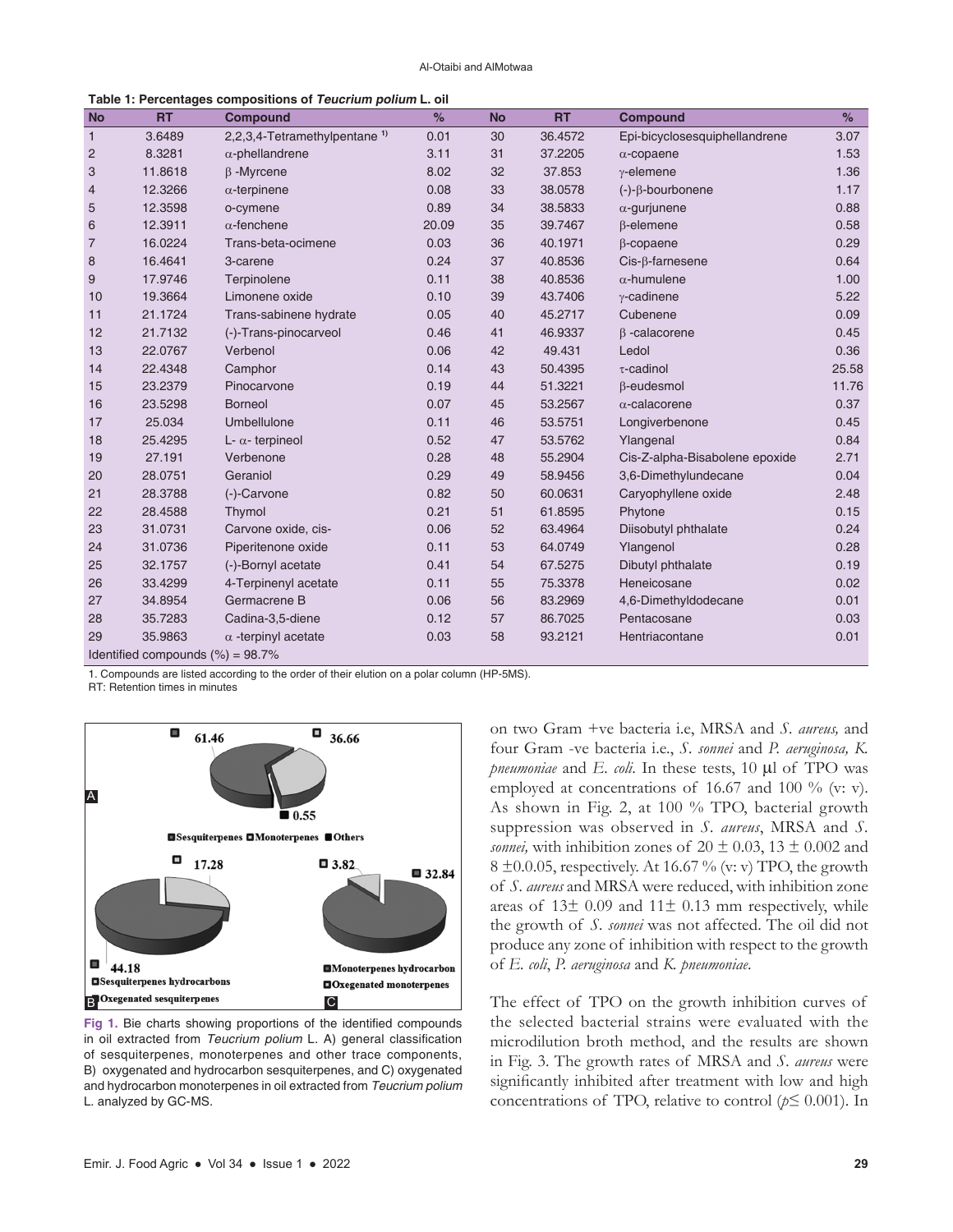Al-Otaibi and AlMotwaa

| <b>No</b>                            | <b>RT</b> | <b>Compound</b>                          | %     | <b>No</b> | <b>RT</b> | <b>Compound</b>                | %     |  |  |
|--------------------------------------|-----------|------------------------------------------|-------|-----------|-----------|--------------------------------|-------|--|--|
| $\mathbf{1}$                         | 3.6489    | 2,2,3,4-Tetramethylpentane <sup>1)</sup> | 0.01  | 30        | 36.4572   | Epi-bicyclosesquiphellandrene  | 3.07  |  |  |
| $\overline{c}$                       | 8.3281    | $\alpha$ -phellandrene                   | 3.11  | 31        | 37.2205   | $\alpha$ -copaene              | 1.53  |  |  |
| 3                                    | 11.8618   | $\beta$ -Myrcene                         | 8.02  | 32        | 37.853    | $\gamma$ -elemene              | 1.36  |  |  |
| $\overline{4}$                       | 12.3266   | $\alpha$ -terpinene                      | 0.08  | 33        | 38.0578   | $(-)$ - $\beta$ -bourbonene    | 1.17  |  |  |
| 5                                    | 12.3598   | o-cymene                                 | 0.89  | 34        | 38.5833   | $\alpha$ -gurjunene            | 0.88  |  |  |
| 6                                    | 12.3911   | $\alpha$ -fenchene                       | 20.09 | 35        | 39.7467   | $\beta$ -elemene               | 0.58  |  |  |
| $\overline{7}$                       | 16.0224   | Trans-beta-ocimene                       | 0.03  | 36        | 40.1971   | $\beta$ -copaene               | 0.29  |  |  |
| 8                                    | 16.4641   | 3-carene                                 | 0.24  | 37        | 40.8536   | $Cis$ - $\beta$ -farnesene     | 0.64  |  |  |
| 9                                    | 17.9746   | Terpinolene                              | 0.11  | 38        | 40.8536   | $\alpha$ -humulene             | 1.00  |  |  |
| 10                                   | 19.3664   | Limonene oxide                           | 0.10  | 39        | 43.7406   | $\gamma$ -cadinene             | 5.22  |  |  |
| 11                                   | 21.1724   | Trans-sabinene hydrate                   | 0.05  | 40        | 45.2717   | Cubenene                       | 0.09  |  |  |
| 12                                   | 21.7132   | (-)-Trans-pinocarveol                    | 0.46  | 41        | 46.9337   | $\beta$ -calacorene            | 0.45  |  |  |
| 13                                   | 22.0767   | Verbenol                                 | 0.06  | 42        | 49.431    | Ledol                          | 0.36  |  |  |
| 14                                   | 22.4348   | Camphor                                  | 0.14  | 43        | 50.4395   | $\tau$ -cadinol                | 25.58 |  |  |
| 15                                   | 23.2379   | Pinocarvone                              | 0.19  | 44        | 51.3221   | $\beta$ -eudesmol              | 11.76 |  |  |
| 16                                   | 23.5298   | <b>Borneol</b>                           | 0.07  | 45        | 53.2567   | $\alpha$ -calacorene           | 0.37  |  |  |
| 17                                   | 25.034    | Umbellulone                              | 0.11  | 46        | 53.5751   | Longiverbenone                 | 0.45  |  |  |
| 18                                   | 25.4295   | $L - \alpha$ - terpineol                 | 0.52  | 47        | 53.5762   | Ylangenal                      | 0.84  |  |  |
| 19                                   | 27.191    | Verbenone                                | 0.28  | 48        | 55.2904   | Cis-Z-alpha-Bisabolene epoxide | 2.71  |  |  |
| 20                                   | 28.0751   | Geraniol                                 | 0.29  | 49        | 58.9456   | 3,6-Dimethylundecane           | 0.04  |  |  |
| 21                                   | 28.3788   | (-)-Carvone                              | 0.82  | 50        | 60.0631   | Caryophyllene oxide            | 2.48  |  |  |
| 22                                   | 28.4588   | Thymol                                   | 0.21  | 51        | 61.8595   | Phytone                        | 0.15  |  |  |
| 23                                   | 31.0731   | Carvone oxide, cis-                      | 0.06  | 52        | 63.4964   | Diisobutyl phthalate           | 0.24  |  |  |
| 24                                   | 31.0736   | Piperitenone oxide                       | 0.11  | 53        | 64.0749   | Ylangenol                      | 0.28  |  |  |
| 25                                   | 32.1757   | (-)-Bornyl acetate                       | 0.41  | 54        | 67.5275   | Dibutyl phthalate              | 0.19  |  |  |
| 26                                   | 33.4299   | 4-Terpinenyl acetate                     | 0.11  | 55        | 75.3378   | Heneicosane                    | 0.02  |  |  |
| 27                                   | 34.8954   | Germacrene B                             | 0.06  | 56        | 83.2969   | 4,6-Dimethyldodecane           | 0.01  |  |  |
| 28                                   | 35.7283   | Cadina-3,5-diene                         | 0.12  | 57        | 86.7025   | Pentacosane                    | 0.03  |  |  |
| 29                                   | 35.9863   | $\alpha$ -terpinyl acetate               | 0.03  | 58        | 93.2121   | Hentriacontane                 | 0.01  |  |  |
| Identified compounds $(\%) = 98.7\%$ |           |                                          |       |           |           |                                |       |  |  |

**Table 1: Percentages compositions of Teucrium polium L. oil**

1. Compounds are listed according to the order of their elution on a polar column (HP-5MS).

RT: Retention times in minutes



**Fig 1.** Bie charts showing proportions of the identified compounds in oil extracted from *Teucrium polium* L. A) general classification of sesquiterpenes, monoterpenes and other trace components, B) oxygenated and hydrocarbon sesquiterpenes, and C) oxygenated and hydrocarbon monoterpenes in oil extracted from *Teucrium polium*  L. analyzed by GC-MS.

on two Gram +ve bacteria i.e, MRSA and *S. aureus,* and four Gram -ve bacteria i.e., *S. sonnei* and *P. aeruginosa, K. pneumoniae* and *E. coli*. In these tests, 10 µl of TPO was employed at concentrations of 16.67 and 100 % (v: v). As shown in Fig. 2, at 100 % TPO, bacterial growth suppression was observed in *S. aureus*, MRSA and *S. sonnei*, with inhibition zones of  $20 \pm 0.03$ ,  $13 \pm 0.002$  and  $8 \pm 0.005$ , respectively. At 16.67 % (v: v) TPO, the growth of *S. aureus* and MRSA were reduced, with inhibition zone areas of  $13\pm 0.09$  and  $11\pm 0.13$  mm respectively, while the growth of *S. sonnei* was not affected. The oil did not produce any zone of inhibition with respect to the growth of *E. coli*, *P. aeruginosa* and *K. pneumoniae*.

The effect of TPO on the growth inhibition curves of the selected bacterial strains were evaluated with the microdilution broth method, and the results are shown in Fig. 3. The growth rates of MRSA and *S. aureus* were significantly inhibited after treatment with low and high concentrations of TPO, relative to control (*p*≤ 0.001). In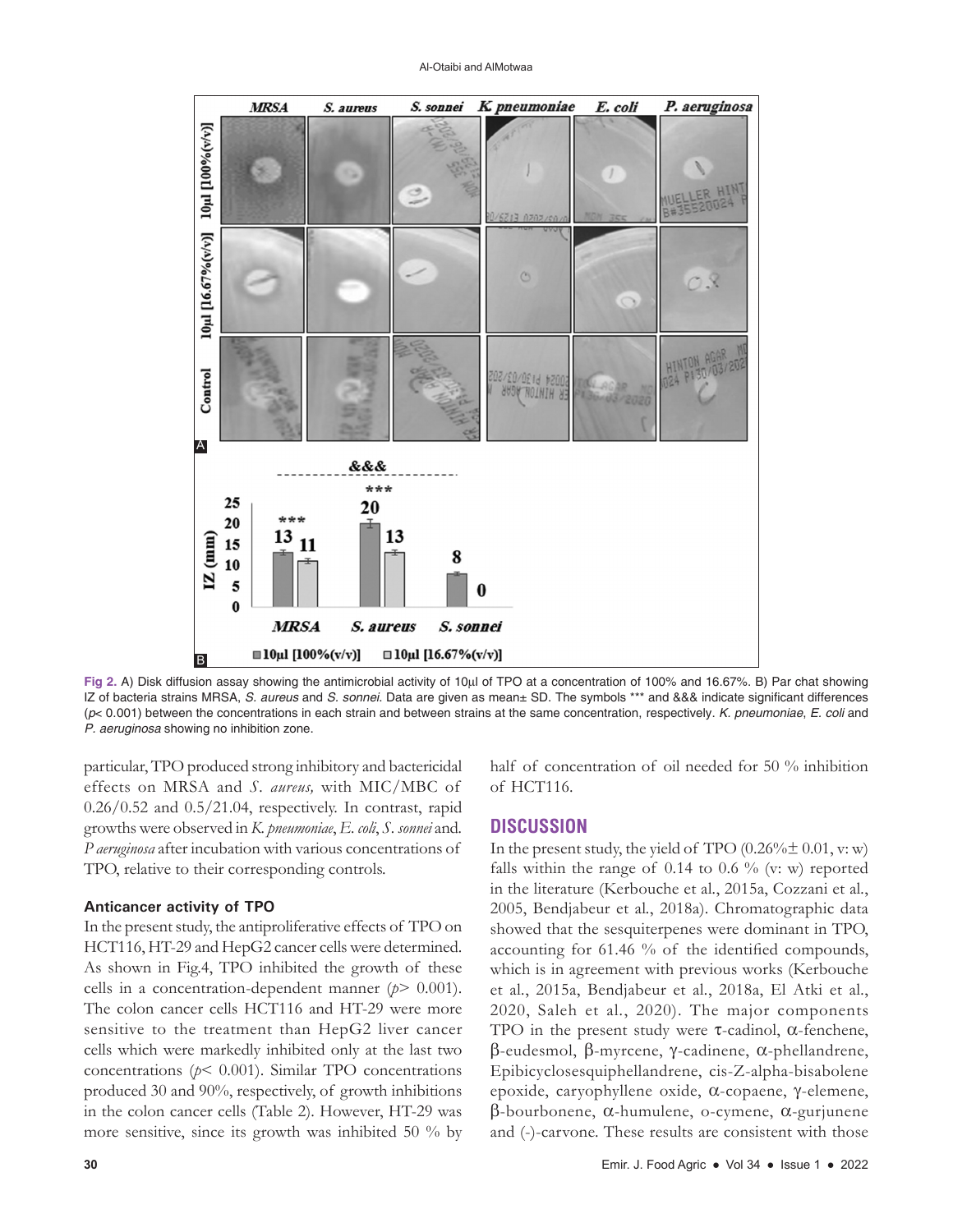#### Al-Otaibi and AlMotwaa



**Fig 2.** A) Disk diffusion assay showing the antimicrobial activity of 10µl of TPO at a concentration of 100% and 16.67%. B) Par chat showing IZ of bacteria strains MRSA, *S. aureus* and *S. sonnei*. Data are given as mean± SD. The symbols \*\*\* and &&& indicate significant differences (*p*< 0.001) between the concentrations in each strain and between strains at the same concentration, respectively. *K. pneumoniae*, *E. coli* and *P. aeruginosa* showing no inhibition zone.

particular, TPO produced strong inhibitory and bactericidal effects on MRSA and *S. aureus,* with MIC/MBC of  $0.26/0.52$  and  $0.5/21.04$ , respectively. In contrast, rapid growths were observed in *K. pneumoniae*, *E. coli*, *S. sonnei* and*. P aeruginosa* after incubation with various concentrations of TPO, relative to their corresponding controls.

### **Anticancer activity of TPO**

In the present study, the antiproliferative effects of TPO on HCT116, HT-29 and HepG2 cancer cells were determined. As shown in Fig.4, TPO inhibited the growth of these cells in a concentration-dependent manner (*p*> 0.001). The colon cancer cells HCT116 and HT-29 were more sensitive to the treatment than HepG2 liver cancer cells which were markedly inhibited only at the last two concentrations (*p*< 0.001). Similar TPO concentrations produced 30 and 90%, respectively, of growth inhibitions in the colon cancer cells (Table 2). However, HT-29 was more sensitive, since its growth was inhibited 50 % by

half of concentration of oil needed for 50 % inhibition of HCT116.

### **DISCUSSION**

In the present study, the yield of TPO  $(0.26\% \pm 0.01, v; w)$ falls within the range of  $0.14$  to  $0.6\%$  (v: w) reported in the literature (Kerbouche et al*.*, 2015a, Cozzani et al*.*, 2005, Bendjabeur et al*.*, 2018a). Chromatographic data showed that the sesquiterpenes were dominant in TPO, accounting for 61.46 % of the identified compounds, which is in agreement with previous works (Kerbouche et al*.*, 2015a, Bendjabeur et al*.*, 2018a, El Atki et al*.*, 2020, Saleh et al*.*, 2020). The major components TPO in the present study were  $\tau$ -cadinol,  $\alpha$ -fenchene, β-eudesmol, β-myrcene, γ-cadinene, α-phellandrene, Epibicyclosesquiphellandrene, cis-Z-alpha-bisabolene epoxide, caryophyllene oxide, α-copaene, γ-elemene, β-bourbonene, α-humulene, o-cymene, α-gurjunene and (-)-carvone. These results are consistent with those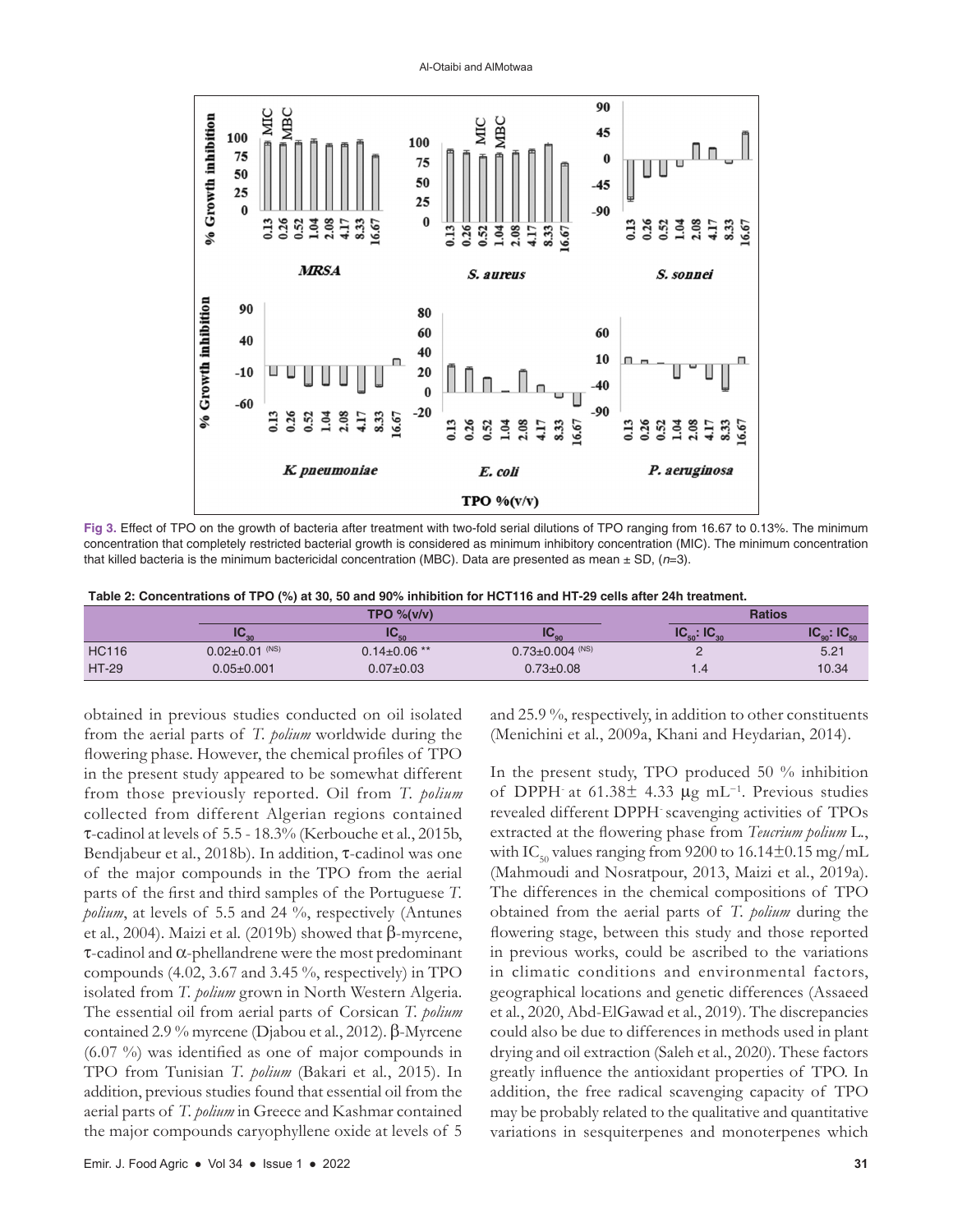

Al-Otaibi and AlMotwaa

**Fig 3.** Effect of TPO on the growth of bacteria after treatment with two-fold serial dilutions of TPO ranging from 16.67 to 0.13%. The minimum concentration that completely restricted bacterial growth is considered as minimum inhibitory concentration (MIC). The minimum concentration that killed bacteria is the minimum bactericidal concentration (MBC). Data are presented as mean ± SD, (*n*=3).

| Table 2: Concentrations of TPO (%) at 30, 50 and 90% inhibition for HCT116 and HT-29 cells after 24h treatment. |
|-----------------------------------------------------------------------------------------------------------------|
|-----------------------------------------------------------------------------------------------------------------|

|              |                      | TPO % (v/v)        |                       |                           | <b>Ratios</b>     |
|--------------|----------------------|--------------------|-----------------------|---------------------------|-------------------|
|              | IV.                  |                    | $\mathbf{R}$          | $\cdot$ 10<br>$\sim$<br>w | $\cdot$ In<br>ימי |
| <b>HC116</b> | $0.02 \pm 0.01$ (NS) | $0.14 \pm 0.06$ ** | $0.73 \pm 0.004$ (NS) |                           | 5.21              |
| <b>HT-29</b> | $0.05 \pm 0.001$     | $0.07 \pm 0.03$    | $0.73 \pm 0.08$       |                           | 10.34             |

obtained in previous studies conducted on oil isolated from the aerial parts of *T. polium* worldwide during the flowering phase. However, the chemical profiles of TPO in the present study appeared to be somewhat different from those previously reported. Oil from *T. polium* collected from different Algerian regions contained τ-cadinol at levels of 5.5 - 18.3% (Kerbouche et al*.*, 2015b, Bendjabeur et al*.*, 2018b). In addition, τ-cadinol was one of the major compounds in the TPO from the aerial parts of the first and third samples of the Portuguese *T. polium*, at levels of 5.5 and 24 %, respectively (Antunes et al*.*, 2004). Maizi et al*.* (2019b) showed that β-myrcene, τ-cadinol and α-phellandrene were the most predominant compounds (4.02, 3.67 and 3.45 %, respectively) in TPO isolated from *T. polium* grown in North Western Algeria. The essential oil from aerial parts of Corsican *T. polium* contained 2.9 % myrcene (Djabou et al*.*, 2012). β-Myrcene (6.07 %) was identified as one of major compounds in TPO from Tunisian *T. polium* (Bakari et al*.*, 2015). In addition, previous studies found that essential oil from the aerial parts of *T. polium* in Greece and Kashmar contained the major compounds caryophyllene oxide at levels of 5 and 25.9 %, respectively, in addition to other constituents (Menichini et al*.*, 2009a, Khani and Heydarian, 2014).

In the present study, TPO produced 50 % inhibition of DPPH at 61.38 $\pm$  4.33 µg mL<sup>-1</sup>. Previous studies revealed different DPPH-scavenging activities of TPOs extracted at the flowering phase from *Teucrium polium* L*.*, with IC<sub>50</sub> values ranging from 9200 to 16.14 $\pm$ 0.15 mg/mL (Mahmoudi and Nosratpour, 2013, Maizi et al*.*, 2019a). The differences in the chemical compositions of TPO obtained from the aerial parts of *T. polium* during the flowering stage, between this study and those reported in previous works, could be ascribed to the variations in climatic conditions and environmental factors, geographical locations and genetic differences (Assaeed et al*.*, 2020, Abd-ElGawad et al*.*, 2019). The discrepancies could also be due to differences in methods used in plant drying and oil extraction (Saleh et al*.*, 2020). These factors greatly influence the antioxidant properties of TPO. In addition, the free radical scavenging capacity of TPO may be probably related to the qualitative and quantitative variations in sesquiterpenes and monoterpenes which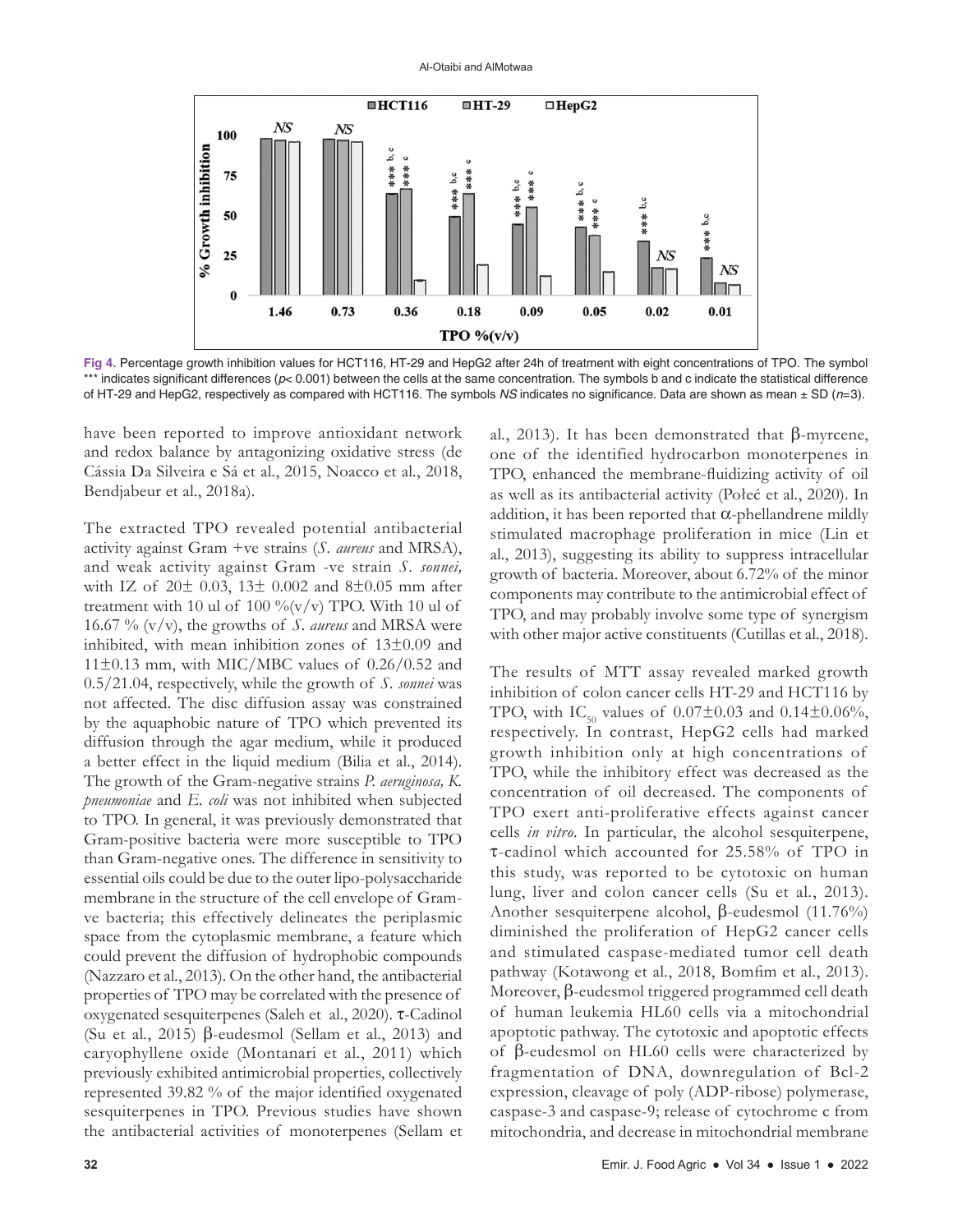

**Fig 4.** Percentage growth inhibition values for HCT116, HT-29 and HepG2 after 24h of treatment with eight concentrations of TPO. The symbol \*\*\* indicates significant differences (*p*< 0.001) between the cells at the same concentration. The symbols b and c indicate the statistical difference of HT-29 and HepG2, respectively as compared with HCT116. The symbols *NS* indicates no significance. Data are shown as mean ± SD (*n*=3).

have been reported to improve antioxidant network and redox balance by antagonizing oxidative stress (de Cássia Da Silveira e Sá et al*.*, 2015, Noacco et al*.*, 2018, Bendjabeur et al*.*, 2018a).

The extracted TPO revealed potential antibacterial activity against Gram +ve strains (*S. aureus* and MRSA), and weak activity against Gram -ve strain *S. sonnei,* with IZ of  $20\pm 0.03$ ,  $13\pm 0.002$  and  $8\pm 0.05$  mm after treatment with 10 ul of 100 % $(v/v)$  TPO. With 10 ul of 16.67 % (v/v), the growths of *S. aureus* and MRSA were inhibited, with mean inhibition zones of 13±0.09 and  $11\pm0.13$  mm, with MIC/MBC values of 0.26/0.52 and 0.5/21.04, respectively, while the growth of *S. sonnei* was not affected. The disc diffusion assay was constrained by the aquaphobic nature of TPO which prevented its diffusion through the agar medium, while it produced a better effect in the liquid medium (Bilia et al*.*, 2014). The growth of the Gram-negative strains *P. aeruginosa, K. pneumoniae* and *E. coli* was not inhibited when subjected to TPO. In general, it was previously demonstrated that Gram-positive bacteria were more susceptible to TPO than Gram-negative ones. The difference in sensitivity to essential oils could be due to the outer lipo-polysaccharide membrane in the structure of the cell envelope of Gramve bacteria; this effectively delineates the periplasmic space from the cytoplasmic membrane, a feature which could prevent the diffusion of hydrophobic compounds (Nazzaro et al*.*, 2013). On the other hand, the antibacterial properties of TPO may be correlated with the presence of oxygenated sesquiterpenes (Saleh et al*.*, 2020). τ-Cadinol (Su et al*.*, 2015) β-eudesmol (Sellam et al*.*, 2013) and caryophyllene oxide (Montanari et al*.*, 2011) which previously exhibited antimicrobial properties, collectively represented 39.82 % of the major identified oxygenated sesquiterpenes in TPO. Previous studies have shown the antibacterial activities of monoterpenes (Sellam et

al*.*, 2013). It has been demonstrated that β-myrcene, one of the identified hydrocarbon monoterpenes in TPO, enhanced the membrane-fluidizing activity of oil as well as its antibacterial activity (Połeć et al*.*, 2020). In addition, it has been reported that  $\alpha$ -phellandrene mildly stimulated macrophage proliferation in mice (Lin et al*.*, 2013), suggesting its ability to suppress intracellular growth of bacteria. Moreover, about 6.72% of the minor components may contribute to the antimicrobial effect of TPO, and may probably involve some type of synergism with other major active constituents (Cutillas et al*.*, 2018).

The results of MTT assay revealed marked growth inhibition of colon cancer cells HT-29 and HCT116 by TPO, with IC<sub>50</sub> values of  $0.07 \pm 0.03$  and  $0.14 \pm 0.06\%$ , respectively. In contrast, HepG2 cells had marked growth inhibition only at high concentrations of TPO, while the inhibitory effect was decreased as the concentration of oil decreased. The components of TPO exert anti-proliferative effects against cancer cells *in vitro*. In particular, the alcohol sesquiterpene, τ-cadinol which accounted for 25.58% of TPO in this study, was reported to be cytotoxic on human lung, liver and colon cancer cells (Su et al*.*, 2013). Another sesquiterpene alcohol, β-eudesmol (11.76%) diminished the proliferation of HepG2 cancer cells and stimulated caspase-mediated tumor cell death pathway (Kotawong et al*.*, 2018, Bomfim et al*.*, 2013). Moreover, β-eudesmol triggered programmed cell death of human leukemia HL60 cells via a mitochondrial apoptotic pathway. The cytotoxic and apoptotic effects of β-eudesmol on HL60 cells were characterized by fragmentation of DNA, downregulation of Bcl-2 expression, cleavage of poly (ADP-ribose) polymerase, caspase-3 and caspase-9; release of cytochrome c from mitochondria, and decrease in mitochondrial membrane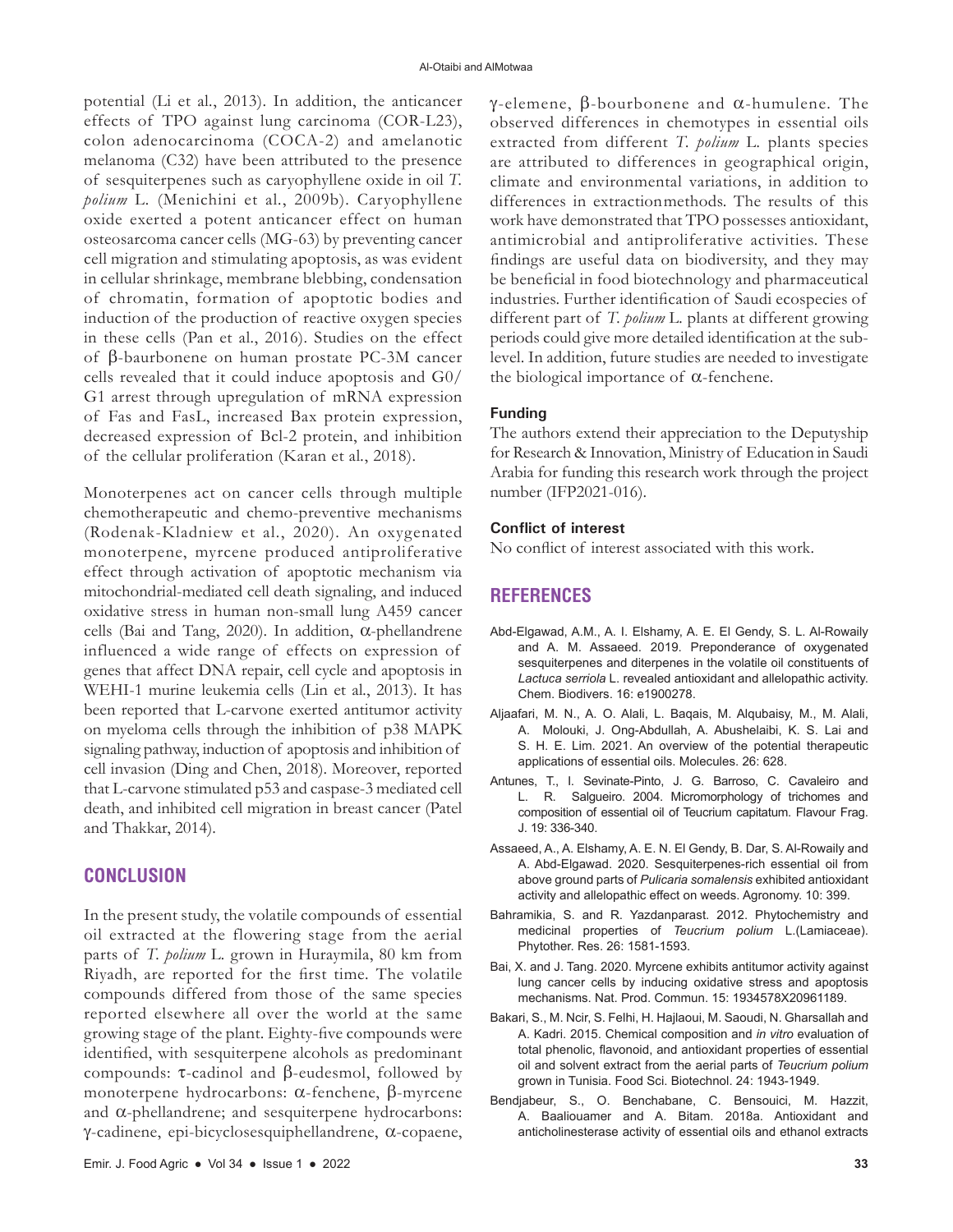potential (Li et al*.*, 2013). In addition, the anticancer effects of TPO against lung carcinoma (COR-L23), colon adenocarcinoma (COCA-2) and amelanotic melanoma (C32) have been attributed to the presence of sesquiterpenes such as caryophyllene oxide in oil *T. polium* L*.* (Menichini et al*.*, 2009b). Caryophyllene oxide exerted a potent anticancer effect on human osteosarcoma cancer cells (MG-63) by preventing cancer cell migration and stimulating apoptosis, as was evident in cellular shrinkage, membrane blebbing, condensation of chromatin, formation of apoptotic bodies and induction of the production of reactive oxygen species in these cells (Pan et al*.*, 2016). Studies on the effect of β-baurbonene on human prostate PC-3M cancer cells revealed that it could induce apoptosis and G0/ G1 arrest through upregulation of mRNA expression of Fas and FasL, increased Bax protein expression, decreased expression of Bcl-2 protein, and inhibition of the cellular proliferation (Karan et al*.*, 2018).

Monoterpenes act on cancer cells through multiple chemotherapeutic and chemo-preventive mechanisms (Rodenak-Kladniew et al*.*, 2020). An oxygenated monoterpene, myrcene produced antiproliferative effect through activation of apoptotic mechanism via mitochondrial-mediated cell death signaling, and induced oxidative stress in human non-small lung A459 cancer cells (Bai and Tang, 2020). In addition, α-phellandrene influenced a wide range of effects on expression of genes that affect DNA repair, cell cycle and apoptosis in WEHI-1 murine leukemia cells (Lin et al*.*, 2013). It has been reported that L-carvone exerted antitumor activity on myeloma cells through the inhibition of p38 MAPK signaling pathway, induction of apoptosis and inhibition of cell invasion (Ding and Chen, 2018). Moreover, reported that L-carvone stimulated p53 and caspase-3 mediated cell death, and inhibited cell migration in breast cancer (Patel and Thakkar, 2014).

# **CONCLUSION**

In the present study, the volatile compounds of essential oil extracted at the flowering stage from the aerial parts of *T. polium* L*.* grown in Huraymila, 80 km from Riyadh, are reported for the first time. The volatile compounds differed from those of the same species reported elsewhere all over the world at the same growing stage of the plant. Eighty-five compounds were identified, with sesquiterpene alcohols as predominant compounds: τ-cadinol and β-eudesmol, followed by monoterpene hydrocarbons: α-fenchene, β-myrcene and α-phellandrene; and sesquiterpene hydrocarbons: γ-cadinene, epi-bicyclosesquiphellandrene, α-copaene, γ-elemene, β-bourbonene and α-humulene. The observed differences in chemotypes in essential oils extracted from different *T. polium* L*.* plants species are attributed to differences in geographical origin, climate and environmental variations, in addition to differences in extractionmethods. The results of this work have demonstrated that TPO possesses antioxidant, antimicrobial and antiproliferative activities. These findings are useful data on biodiversity, and they may be beneficial in food biotechnology and pharmaceutical industries. Further identification of Saudi ecospecies of different part of *T. polium* L*.* plants at different growing periods could give more detailed identification at the sublevel. In addition, future studies are needed to investigate the biological importance of  $α$ -fenchene.

### **Funding**

The authors extend their appreciation to the Deputyship for Research & Innovation, Ministry of Education in Saudi Arabia for funding this research work through the project number (IFP2021-016).

### **Conflict of interest**

No conflict of interest associated with this work.

### **REFERENCES**

- Abd-Elgawad, A.M., A. I. Elshamy, A. E. El Gendy, S. L. Al-Rowaily and A. M. Assaeed. 2019. Preponderance of oxygenated sesquiterpenes and diterpenes in the volatile oil constituents of *Lactuca serriola* L. revealed antioxidant and allelopathic activity. Chem. Biodivers. 16: e1900278.
- Aljaafari, M. N., A. O. Alali, L. Baqais, M. Alqubaisy, M., M. Alali, A. Molouki, J. Ong-Abdullah, A. Abushelaibi, K. S. Lai and S. H. E. Lim. 2021. An overview of the potential therapeutic applications of essential oils. Molecules. 26: 628.
- Antunes, T., I. Sevinate-Pinto, J. G. Barroso, C. Cavaleiro and L. R. Salgueiro. 2004. Micromorphology of trichomes and composition of essential oil of Teucrium capitatum. Flavour Frag. J. 19: 336-340.
- Assaeed, A., A. Elshamy, A. E. N. El Gendy, B. Dar, S. Al-Rowaily and A. Abd-Elgawad. 2020. Sesquiterpenes-rich essential oil from above ground parts of *Pulicaria somalensis* exhibited antioxidant activity and allelopathic effect on weeds. Agronomy. 10: 399.
- Bahramikia, S. and R. Yazdanparast. 2012. Phytochemistry and medicinal properties of *Teucrium polium* L.(Lamiaceae). Phytother. Res. 26: 1581-1593.
- Bai, X. and J. Tang. 2020. Myrcene exhibits antitumor activity against lung cancer cells by inducing oxidative stress and apoptosis mechanisms. Nat. Prod. Commun. 15: 1934578X20961189.
- Bakari, S., M. Ncir, S. Felhi, H. Hajlaoui, M. Saoudi, N. Gharsallah and A. Kadri. 2015. Chemical composition and *in vitro* evaluation of total phenolic, flavonoid, and antioxidant properties of essential oil and solvent extract from the aerial parts of *Teucrium polium* grown in Tunisia. Food Sci. Biotechnol. 24: 1943-1949.
- Bendjabeur, S., O. Benchabane, C. Bensouici, M. Hazzit, A. Baaliouamer and A. Bitam. 2018a. Antioxidant and anticholinesterase activity of essential oils and ethanol extracts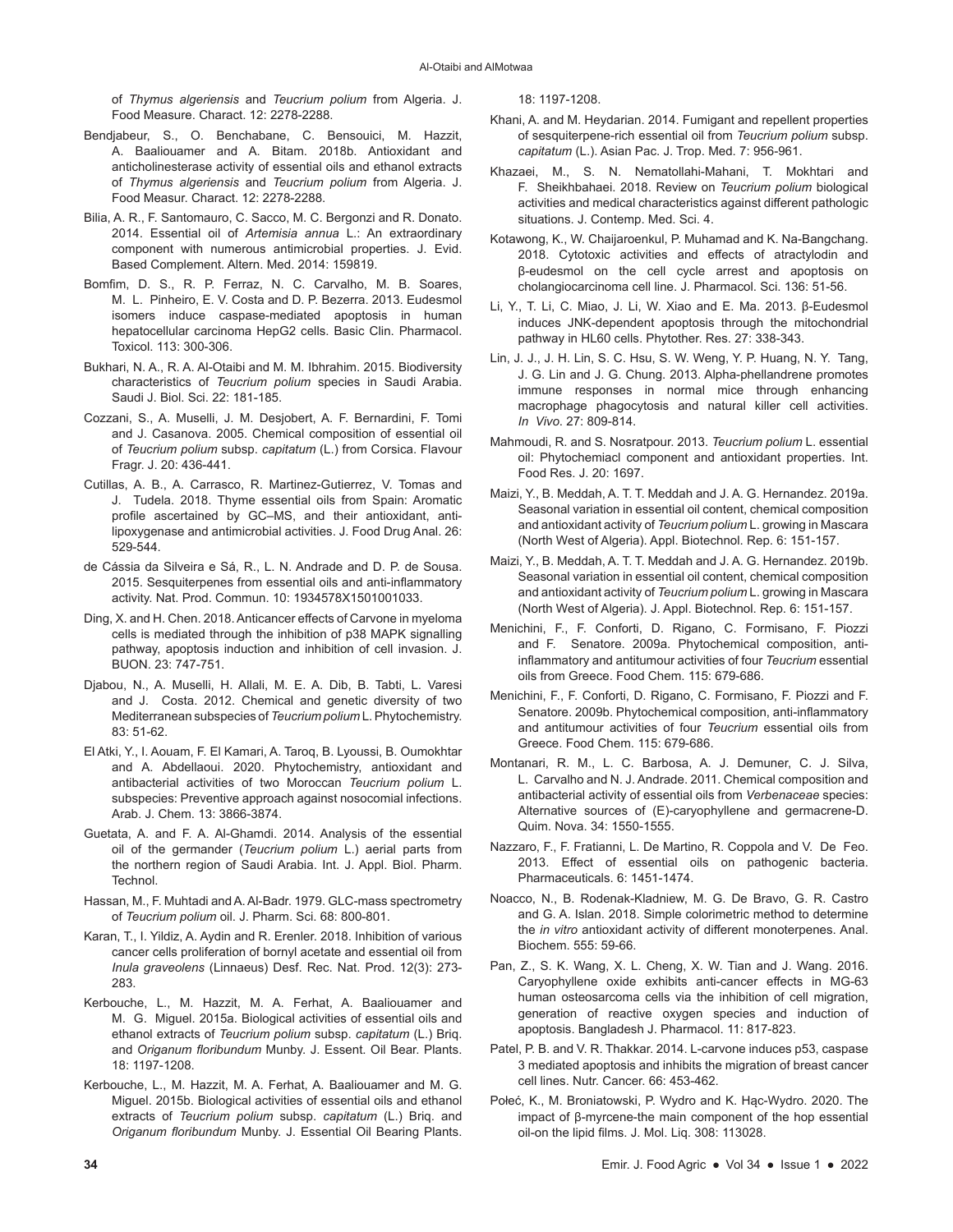of *Thymus algeriensis* and *Teucrium polium* from Algeria. J. Food Measure. Charact. 12: 2278-2288.

- Bendjabeur, S., O. Benchabane, C. Bensouici, M. Hazzit, A. Baaliouamer and A. Bitam. 2018b. Antioxidant and anticholinesterase activity of essential oils and ethanol extracts of *Thymus algeriensis* and *Teucrium polium* from Algeria. J. Food Measur. Charact. 12: 2278-2288.
- Bilia, A. R., F. Santomauro, C. Sacco, M. C. Bergonzi and R. Donato. 2014. Essential oil of *Artemisia annua* L.: An extraordinary component with numerous antimicrobial properties. J. Evid. Based Complement. Altern. Med. 2014: 159819.
- Bomfim, D. S., R. P. Ferraz, N. C. Carvalho, M. B. Soares, M. L. Pinheiro, E. V. Costa and D. P. Bezerra. 2013. Eudesmol isomers induce caspase-mediated apoptosis in human hepatocellular carcinoma HepG2 cells. Basic Clin. Pharmacol. Toxicol. 113: 300-306.
- Bukhari, N. A., R. A. Al-Otaibi and M. M. Ibhrahim. 2015. Biodiversity characteristics of *Teucrium polium* species in Saudi Arabia. Saudi J. Biol. Sci. 22: 181-185.
- Cozzani, S., A. Muselli, J. M. Desjobert, A. F. Bernardini, F. Tomi and J. Casanova. 2005. Chemical composition of essential oil of *Teucrium polium* subsp. *capitatum* (L.) from Corsica. Flavour Fragr. J. 20: 436-441.
- Cutillas, A. B., A. Carrasco, R. Martinez-Gutierrez, V. Tomas and J. Tudela. 2018. Thyme essential oils from Spain: Aromatic profile ascertained by GC–MS, and their antioxidant, antilipoxygenase and antimicrobial activities. J. Food Drug Anal. 26: 529-544.
- de Cássia da Silveira e Sá, R., L. N. Andrade and D. P. de Sousa. 2015. Sesquiterpenes from essential oils and anti-inflammatory activity. Nat. Prod. Commun. 10: 1934578X1501001033.
- Ding, X. and H. Chen. 2018. Anticancer effects of Carvone in myeloma cells is mediated through the inhibition of p38 MAPK signalling pathway, apoptosis induction and inhibition of cell invasion. J. BUON. 23: 747-751.
- Djabou, N., A. Muselli, H. Allali, M. E. A. Dib, B. Tabti, L. Varesi and J. Costa. 2012. Chemical and genetic diversity of two Mediterranean subspecies of *Teucrium polium* L. Phytochemistry. 83: 51-62.
- El Atki, Y., I. Aouam, F. El Kamari, A. Taroq, B. Lyoussi, B. Oumokhtar and A. Abdellaoui. 2020. Phytochemistry, antioxidant and antibacterial activities of two Moroccan *Teucrium polium* L. subspecies: Preventive approach against nosocomial infections. Arab. J. Chem. 13: 3866-3874.
- Guetata, A. and F. A. Al-Ghamdi. 2014. Analysis of the essential oil of the germander (*Teucrium polium* L.) aerial parts from the northern region of Saudi Arabia. Int. J. Appl. Biol. Pharm. Technol.
- Hassan, M., F. Muhtadi and A. Al-Badr. 1979. GLC-mass spectrometry of *Teucrium polium* oil. J. Pharm. Sci. 68: 800-801.
- Karan, T., I. Yildiz, A. Aydin and R. Erenler. 2018. Inhibition of various cancer cells proliferation of bornyl acetate and essential oil from *Inula graveolens* (Linnaeus) Desf. Rec. Nat. Prod. 12(3): 273- 283.
- Kerbouche, L., M. Hazzit, M. A. Ferhat, A. Baaliouamer and M. G. Miguel. 2015a. Biological activities of essential oils and ethanol extracts of *Teucrium polium* subsp. *capitatum* (L.) Briq. and *Origanum floribundum* Munby. J. Essent. Oil Bear. Plants. 18: 1197-1208.
- Kerbouche, L., M. Hazzit, M. A. Ferhat, A. Baaliouamer and M. G. Miguel. 2015b. Biological activities of essential oils and ethanol extracts of *Teucrium polium* subsp. *capitatum* (L.) Briq. and *Origanum floribundum* Munby. J. Essential Oil Bearing Plants.

18: 1197-1208.

- Khani, A. and M. Heydarian. 2014. Fumigant and repellent properties of sesquiterpene-rich essential oil from *Teucrium polium* subsp. *capitatum* (L.). Asian Pac. J. Trop. Med. 7: 956-961.
- Khazaei, M., S. N. Nematollahi-Mahani, T. Mokhtari and F. Sheikhbahaei. 2018. Review on *Teucrium polium* biological activities and medical characteristics against different pathologic situations. J. Contemp. Med. Sci. 4.
- Kotawong, K., W. Chaijaroenkul, P. Muhamad and K. Na-Bangchang. 2018. Cytotoxic activities and effects of atractylodin and β-eudesmol on the cell cycle arrest and apoptosis on cholangiocarcinoma cell line. J. Pharmacol. Sci. 136: 51-56.
- Li, Y., T. Li, C. Miao, J. Li, W. Xiao and E. Ma. 2013. β-Eudesmol induces JNK-dependent apoptosis through the mitochondrial pathway in HL60 cells. Phytother. Res. 27: 338-343.
- Lin, J. J., J. H. Lin, S. C. Hsu, S. W. Weng, Y. P. Huang, N. Y. Tang, J. G. Lin and J. G. Chung. 2013. Alpha-phellandrene promotes immune responses in normal mice through enhancing macrophage phagocytosis and natural killer cell activities. *In Vivo*. 27: 809-814.
- Mahmoudi, R. and S. Nosratpour. 2013. *Teucrium polium* L. essential oil: Phytochemiacl component and antioxidant properties. Int. Food Res. J. 20: 1697.
- Maizi, Y., B. Meddah, A. T. T. Meddah and J. A. G. Hernandez. 2019a. Seasonal variation in essential oil content, chemical composition and antioxidant activity of *Teucrium polium* L. growing in Mascara (North West of Algeria). Appl. Biotechnol. Rep. 6: 151-157.
- Maizi, Y., B. Meddah, A. T. T. Meddah and J. A. G. Hernandez. 2019b. Seasonal variation in essential oil content, chemical composition and antioxidant activity of *Teucrium polium* L. growing in Mascara (North West of Algeria). J. Appl. Biotechnol. Rep. 6: 151-157.
- Menichini, F., F. Conforti, D. Rigano, C. Formisano, F. Piozzi and F. Senatore. 2009a. Phytochemical composition, antiinflammatory and antitumour activities of four *Teucrium* essential oils from Greece. Food Chem. 115: 679-686.
- Menichini, F., F. Conforti, D. Rigano, C. Formisano, F. Piozzi and F. Senatore. 2009b. Phytochemical composition, anti-inflammatory and antitumour activities of four *Teucrium* essential oils from Greece. Food Chem. 115: 679-686.
- Montanari, R. M., L. C. Barbosa, A. J. Demuner, C. J. Silva, L. Carvalho and N. J. Andrade. 2011. Chemical composition and antibacterial activity of essential oils from *Verbenaceae* species: Alternative sources of (E)-caryophyllene and germacrene-D. Quim. Nova. 34: 1550-1555.
- Nazzaro, F., F. Fratianni, L. De Martino, R. Coppola and V. De Feo. 2013. Effect of essential oils on pathogenic bacteria. Pharmaceuticals. 6: 1451-1474.
- Noacco, N., B. Rodenak-Kladniew, M. G. De Bravo, G. R. Castro and G. A. Islan. 2018. Simple colorimetric method to determine the *in vitro* antioxidant activity of different monoterpenes. Anal. Biochem. 555: 59-66.
- Pan, Z., S. K. Wang, X. L. Cheng, X. W. Tian and J. Wang. 2016. Caryophyllene oxide exhibits anti-cancer effects in MG-63 human osteosarcoma cells via the inhibition of cell migration, generation of reactive oxygen species and induction of apoptosis. Bangladesh J. Pharmacol. 11: 817-823.
- Patel, P. B. and V. R. Thakkar. 2014. L-carvone induces p53, caspase 3 mediated apoptosis and inhibits the migration of breast cancer cell lines. Nutr. Cancer. 66: 453-462.
- Połeć, K., M. Broniatowski, P. Wydro and K. Hąc-Wydro. 2020. The impact of β-myrcene-the main component of the hop essential oil-on the lipid films. J. Mol. Liq. 308: 113028.